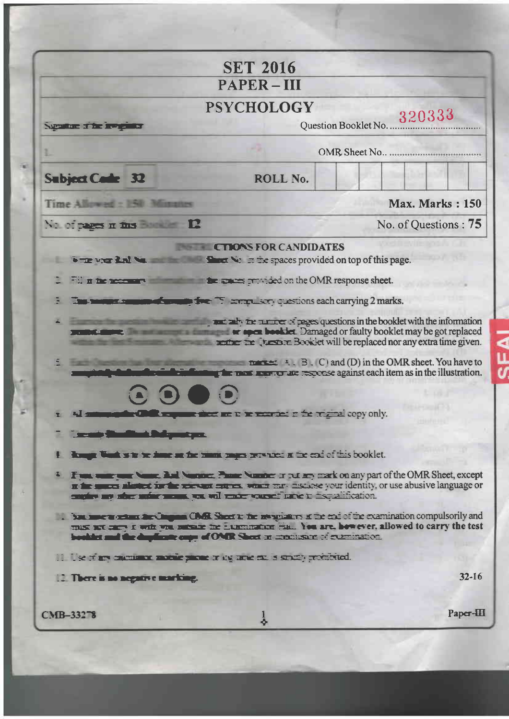|                                                                                                                                                                                                                                                                                                              | <b>SET 2016</b>                                                                                                                                                                                                                                                                                    |                                                                                                                                                                                                               |
|--------------------------------------------------------------------------------------------------------------------------------------------------------------------------------------------------------------------------------------------------------------------------------------------------------------|----------------------------------------------------------------------------------------------------------------------------------------------------------------------------------------------------------------------------------------------------------------------------------------------------|---------------------------------------------------------------------------------------------------------------------------------------------------------------------------------------------------------------|
|                                                                                                                                                                                                                                                                                                              | <b>PAPER-III</b>                                                                                                                                                                                                                                                                                   |                                                                                                                                                                                                               |
| Supportune of the invegendor                                                                                                                                                                                                                                                                                 | <b>PSYCHOLOGY</b>                                                                                                                                                                                                                                                                                  | 320333<br>Question Booklet No                                                                                                                                                                                 |
|                                                                                                                                                                                                                                                                                                              |                                                                                                                                                                                                                                                                                                    | OMR Sheet No.                                                                                                                                                                                                 |
| Subject Cade 32                                                                                                                                                                                                                                                                                              | ROLL No.                                                                                                                                                                                                                                                                                           |                                                                                                                                                                                                               |
| Time Allowed : 150 Minutes                                                                                                                                                                                                                                                                                   |                                                                                                                                                                                                                                                                                                    | <b>Max. Marks: 150</b>                                                                                                                                                                                        |
| Nation pages in this Book of 12                                                                                                                                                                                                                                                                              |                                                                                                                                                                                                                                                                                                    | No. of Questions: 75                                                                                                                                                                                          |
|                                                                                                                                                                                                                                                                                                              | <b>Example 12 Except of pages questions in the booklet with the information</b><br><b>The Company of the spen booklet</b> Damaged or faulty booklet may be got replaced<br>and active the Creative Booklet will be replaced nor any extra time given.<br>manufactured and the second company only. | $\frac{1}{2}$ = $\frac{1}{2}$ = $\frac{1}{2}$ = $\frac{1}{2}$ = $\frac{1}{2}$ = $\frac{1}{2}$ and (D) in the OMR sheet. You have to<br>the max maximum are response against each item as in the illustration. |
| <b>The air Shelling Deliyestyck</b>                                                                                                                                                                                                                                                                          |                                                                                                                                                                                                                                                                                                    |                                                                                                                                                                                                               |
| I have been so to be seen at the name pages provided at the end of this booklet.<br><sup>2</sup> Fun was on hand the Manner. These hands or put any mark on any part of the OMR Sheet, except<br>If the spaces also the fact the second entrest when they nisclose your identity, or use abusive language or |                                                                                                                                                                                                                                                                                                    |                                                                                                                                                                                                               |
| empire are abort under means, we will under some finance in inspectification.                                                                                                                                                                                                                                |                                                                                                                                                                                                                                                                                                    |                                                                                                                                                                                                               |
|                                                                                                                                                                                                                                                                                                              |                                                                                                                                                                                                                                                                                                    |                                                                                                                                                                                                               |
| . Some more under the Changes Chall Sheet to the response of the extension compulsorily and<br>must not carry it with was missing the Examination Hall. You are, however, allowed to carry the test<br>bookier and the duplicate caps of OMR Sheet an execusive of examination.                              |                                                                                                                                                                                                                                                                                                    |                                                                                                                                                                                                               |
| III. Use of any calculated matrix parent or the targe etc. is structly probabiled.                                                                                                                                                                                                                           |                                                                                                                                                                                                                                                                                                    |                                                                                                                                                                                                               |
| 12. There is no negative marking.                                                                                                                                                                                                                                                                            |                                                                                                                                                                                                                                                                                                    | $32 - 16$                                                                                                                                                                                                     |

SFAI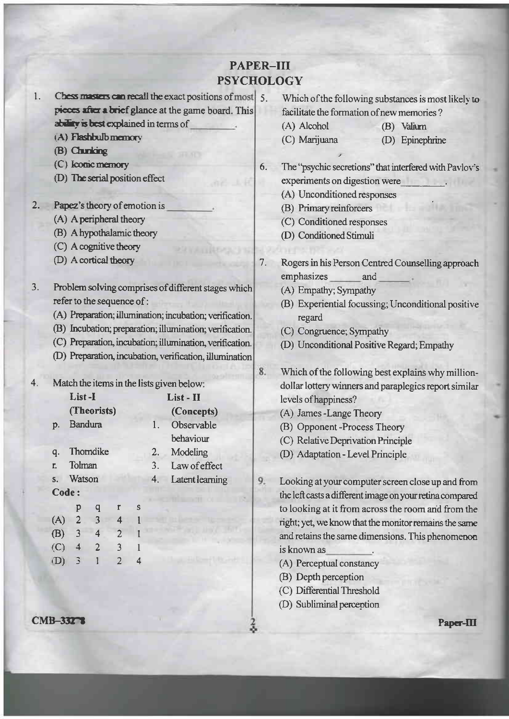## **PAPER-III PSYCHOLOGY**

 $7.$ 

8.

- Chess masters can recall the exact positions of most  $\vert 5$ . 1. pieces after a brief glance at the game board. This ability is best explained in terms of
	- (A) Flashbulb memory
	- (B) Chunking
	- (C) Iconic memory
	- (D) The serial position effect
- 2. Papez's theory of emotion is
	- (A) A peripheral theory
	- (B) A hypothalamic theory
	- (C) A cognitive theory
	- (D) A cortical theory
- $3.$ Problem solving comprises of different stages which refer to the sequence of:
	- (A) Preparation; illumination; incubation; verification.
	- (B) Incubation; preparation; illumination; verification.
	- (C) Preparation, incubation; illumination, verification.
	- (D) Preparation, incubation, verification, illumination

|         |                |             |                |   |    | Match the items in the lists given below: |
|---------|----------------|-------------|----------------|---|----|-------------------------------------------|
|         | List-I         |             |                |   |    | List - II                                 |
|         |                | (Theorists) |                |   |    | (Concepts)                                |
| D.      | <b>Bandura</b> |             |                |   | 1. | Observable                                |
|         |                |             |                |   |    | behaviour                                 |
| q.      |                | Thomdike    |                |   | 2. | Modeling                                  |
| r.      | Tolman         |             |                |   | 3. | Law of effect                             |
| $S_{-}$ | Watson         |             |                |   | 4. | Latent learning                           |
| Code:   |                |             |                |   |    |                                           |
|         | р              | q           | r              | S |    |                                           |
| (A)     | $\overline{2}$ | 3           | 4              |   |    |                                           |
| (B)     | 3              | 4           | $\overline{2}$ |   |    |                                           |
| (C)     | 4              | 2           | 3              |   |    |                                           |

**CMB-33278** 

 $(D)$ 

3

 $\mathbf{1}$ 

 $\overline{2}$ 

 $\overline{4}$ 

 $\overline{4}$ 

- Which of the following substances is most likely to facilitate the formation of new memories?
	- (A) Alcohol (B) Valium
	- (C) Marijuana (D) Epinephrine
- 6. The "psychic secretions" that interfered with Pavlov's experiments on digestion were
	- (A) Unconditioned responses
	- (B) Primary reinforcers
	- (C) Conditioned responses
	- (D) Conditioned Stimuli
	- Rogers in his Person Centred Counselling approach emphasizes and
		- (A) Empathy; Sympathy
		- (B) Experiential focussing; Unconditional positive regard
		- (C) Congruence; Sympathy
		- (D) Unconditional Positive Regard; Empathy
		- Which of the following best explains why milliondollar lottery winners and paraplegics report similar levels of happiness?
		- (A) James Lange Theory
		- (B) Opponent-Process Theory
		- (C) Relative Deprivation Principle
		- (D) Adaptation Level Principle
- 9. Looking at your computer screen close up and from the left casts a different image on your retina compared to looking at it from across the room and from the right; yet, we know that the monitor remains the same and retains the same dimensions. This phenomenon is known as
	- (A) Perceptual constancy
	- (B) Depth perception
	- (C) Differential Threshold
	- (D) Subliminal perception

Paper-III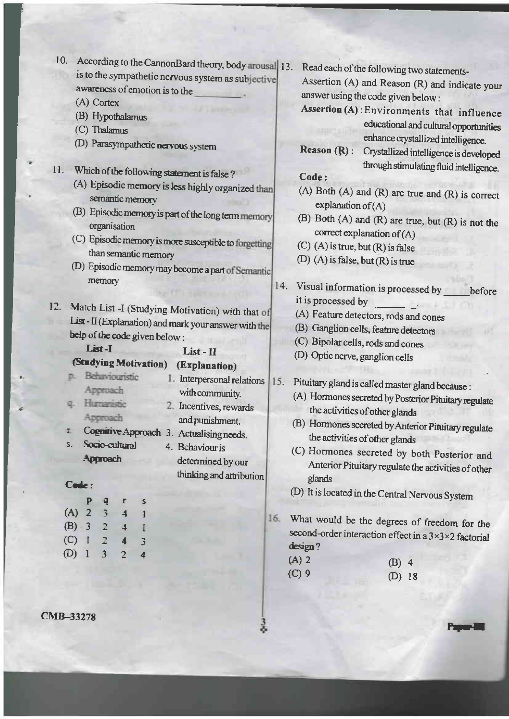| 10.<br>According to the CannonBard theory, body arousal 13.                       |                                                                                  |
|-----------------------------------------------------------------------------------|----------------------------------------------------------------------------------|
| is to the sympathetic nervous system as subjective                                | Read each of the following two statements-                                       |
| awareness of emotion is to the                                                    | Assertion (A) and Reason (R) and indicate your                                   |
| (A) Cortex                                                                        | answer using the code given below:                                               |
| (B) Hypothalamus                                                                  | Assertion (A): Environments that influence                                       |
| (C) Thalamus                                                                      | educational and cultural opportunities                                           |
| (D) Parasympathetic nervous system                                                | enhance crystallized intelligence.                                               |
|                                                                                   | Reason (R):<br>Crystallized intelligence is developed                            |
| 11.                                                                               | through stimulating fluid intelligence.                                          |
| Which of the following statement is false?                                        | Code:                                                                            |
| (A) Episodic memory is less highly organized than<br>semantic memory              | $(A)$ Both $(A)$ and $(R)$ are true and $(R)$ is correct<br>explanation of $(A)$ |
| (B) Episodic memory is part of the long term memory                               | (B) Both $(A)$ and $(R)$ are true, but $(R)$ is not the                          |
| organisation                                                                      | correct explanation of (A)                                                       |
| (C) Episodic memory is more susceptible to forgetting                             | $(C)$ (A) is true, but $(R)$ is false                                            |
| than semantic memory                                                              | (D) (A) is false, but $(R)$ is true                                              |
| (D) Episodic memory may become a part of Semantic                                 |                                                                                  |
| memory                                                                            | 14.<br>Visual information is processed by                                        |
|                                                                                   | before<br>it is processed by                                                     |
| 12.<br>Match List -I (Studying Motivation) with that of                           | (A) Feature detectors, rods and cones                                            |
| List - II (Explanation) and mark your answer with the                             |                                                                                  |
| help of the code given below:                                                     | (B) Ganglion cells, feature detectors                                            |
| List-I<br>List - II                                                               | (C) Bipolar cells, rods and cones                                                |
| (Studying Motivation)<br>(Explanation)                                            | (D) Optic nerve, ganglion cells                                                  |
| Behaviouristic<br>1. Interpersonal relations                                      | 15.                                                                              |
| Approach<br>with community.                                                       | Pituitary gland is called master gland because :                                 |
| Humanistic<br>2. Incentives, rewards                                              | (A) Hormones secreted by Posterior Pituitary regulate                            |
| Approach<br>and punishment.                                                       | the activities of other glands                                                   |
| Cognitive Approach 3. Actualising needs.<br>$\mathbf{r}$                          | (B) Hormones secreted by Anterior Pituitary regulate                             |
| Socio-cultural<br>$5 -$<br>4. Behaviour is                                        | the activities of other glands                                                   |
| Approach<br>determined by our                                                     | (C) Hormones secreted by both Posterior and                                      |
| thinking and attribution                                                          | Anterior Pituitary regulate the activities of other                              |
| Code:                                                                             | glands                                                                           |
| Р<br>q<br>Г<br>S                                                                  | (D) It is located in the Central Nervous System                                  |
| $(A)$ 2<br>$\overline{3}$<br>$\blacktriangleleft$<br>1                            |                                                                                  |
| $(B) - 3 = 2$<br>$\overline{\mathbf{A}}$<br>1                                     | 16. What would be the degrees of freedom for the                                 |
| $(C)$ 1<br>2 <sup>1</sup><br>$\overline{\mathbf{4}}$<br>3                         | second-order interaction effect in a 3×3×2 factorial                             |
| (D)<br>$\overline{\mathbf{3}}$<br>$\overline{2}$<br>-1<br>$\overline{\mathbf{4}}$ | design?                                                                          |
|                                                                                   | $(A)$ 2<br>$(B)$ 4                                                               |
|                                                                                   | $(C)$ 9<br>$(D)$ 18                                                              |

ħ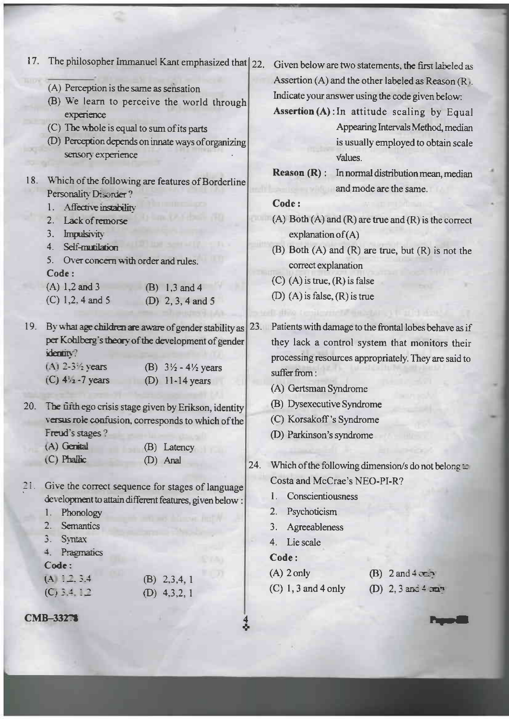|     |                                                                                                                           | 17. The philosopher Immanuel Kant emphasized that 22.                                                                                                                               |                                                       |         | Given below are two statements, the first labeled as                                                                                                                                                                                  |
|-----|---------------------------------------------------------------------------------------------------------------------------|-------------------------------------------------------------------------------------------------------------------------------------------------------------------------------------|-------------------------------------------------------|---------|---------------------------------------------------------------------------------------------------------------------------------------------------------------------------------------------------------------------------------------|
|     | (A) Perception is the same as sensation<br>experience<br>(C) The whole is equal to sum of its parts<br>sensory experience | (B) We learn to perceive the world through<br>(D) Perception depends on innate ways of organizing                                                                                   |                                                       | values. | Assertion (A) and the other labeled as Reason $(R)$ .<br>Indicate your answer using the code given below:<br>Assertion (A): In attitude scaling by Equal<br>Appearing Intervals Method, median<br>is usually employed to obtain scale |
| 18. | Personality Disorder?                                                                                                     | Which of the following are features of Borderline                                                                                                                                   | $Reason (R)$ :                                        |         | In normal distribution mean, median<br>and mode are the same.                                                                                                                                                                         |
|     | Affective instability<br>1.                                                                                               |                                                                                                                                                                                     | Code:                                                 |         |                                                                                                                                                                                                                                       |
|     | Lack of remorse<br>2.<br>Impulsivity<br>3.                                                                                |                                                                                                                                                                                     | explanation of $(A)$                                  |         | (A) Both $(A)$ and $(R)$ are true and $(R)$ is the correct                                                                                                                                                                            |
|     | Self-munilation<br>4 <sub>1</sub><br>5.<br>Over concern with order and rules.<br>Code:                                    |                                                                                                                                                                                     | correct explanation                                   |         | (B) Both (A) and (R) are true, but (R) is not the                                                                                                                                                                                     |
|     | $(A) 1, 2$ and 3                                                                                                          | (B) $1, 3$ and 4                                                                                                                                                                    | $(C)$ (A) is true, $(R)$ is false                     |         |                                                                                                                                                                                                                                       |
|     | $(C)$ 1,2, 4 and 5                                                                                                        | (D) 2, 3, 4 and 5                                                                                                                                                                   | (D) (A) is false, $(R)$ is true                       |         |                                                                                                                                                                                                                                       |
|     | identity?<br>$(A)$ 2-3 $\frac{1}{2}$ years<br>$(C)$ 4 <sup>1</sup> / <sub>2</sub> - 7 years                               | 19. By what age children are aware of gender stability as 23.<br>per Kohlberg's theory of the development of gender<br>(B) $3\frac{1}{2} - 4\frac{1}{2}$ years<br>$(D)$ 11-14 years | suffer from:<br>(A) Gertsman Syndrome                 |         | Patients with damage to the frontal lobes behave as if<br>they lack a control system that monitors their<br>processing resources appropriately. They are said to                                                                      |
| 20. |                                                                                                                           | The fifth ego crisis stage given by Erikson, identity<br>versus role confusion, corresponds to which of the                                                                         | (B) Dysexecutive Syndrome<br>(C) Korsakoff's Syndrome |         |                                                                                                                                                                                                                                       |
|     | Freud's stages?                                                                                                           |                                                                                                                                                                                     | (D) Parkinson's syndrome                              |         |                                                                                                                                                                                                                                       |
|     | $(A)$ Genital                                                                                                             | (B) Latency                                                                                                                                                                         |                                                       |         |                                                                                                                                                                                                                                       |
|     | $(C)$ Phallic                                                                                                             | (D) Anal                                                                                                                                                                            | Costa and McCrae's NEO-PI-R?                          |         | 24. Which of the following dimension/s do not belong $\approx$                                                                                                                                                                        |
| 21. |                                                                                                                           | Give the correct sequence for stages of language                                                                                                                                    | Conscientiousness<br>L.                               |         |                                                                                                                                                                                                                                       |
|     | Phonology<br>1.                                                                                                           | development to attain different features, given below :                                                                                                                             | Psychoticism<br>2.                                    |         |                                                                                                                                                                                                                                       |
|     | 2. Semantics                                                                                                              |                                                                                                                                                                                     | 3.                                                    |         |                                                                                                                                                                                                                                       |
|     | 3. Syntax                                                                                                                 |                                                                                                                                                                                     | Agreeableness                                         |         |                                                                                                                                                                                                                                       |
|     | 4. Pragmatics                                                                                                             |                                                                                                                                                                                     | 4. Lie scale                                          |         |                                                                                                                                                                                                                                       |
|     | Code:                                                                                                                     |                                                                                                                                                                                     | Code:                                                 |         |                                                                                                                                                                                                                                       |
|     | $(A \mid 2, 3,4)$                                                                                                         | $(B)$ 2,3,4, 1                                                                                                                                                                      | $(A)$ 2 only                                          |         | $(B)$ 2 and 4 comp                                                                                                                                                                                                                    |
|     | $(C)$ 3.4, 1.2                                                                                                            | (D) $4,3,2,1$                                                                                                                                                                       | $(C)$ 1, 3 and 4 only                                 |         | (D) $2, 3$ and $4$ mm                                                                                                                                                                                                                 |
|     | <b>CMB-33278</b>                                                                                                          |                                                                                                                                                                                     |                                                       |         |                                                                                                                                                                                                                                       |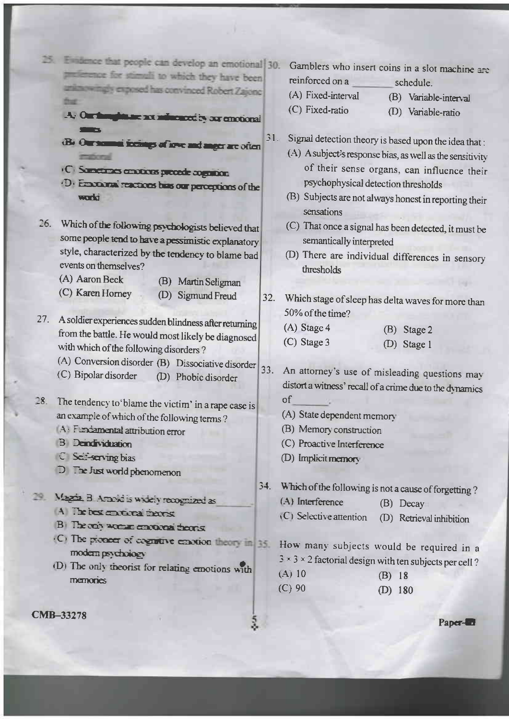- 25. Evidence that people can develop an emotional 30. preference for stimuli to which they have been anknowingly exposed has convinced Robert Zajone that
	- A. Our fast ghiane art mharacet is our emotional
	- (B. Our normal focus p of love and anger are often **Continental**
	- (C) Sunctions enotions procede cognition
	- .D. Empressor reactions has our perceptions of the worki
- 26. Which of the following psychologists believed that some people tend to have a pessimistic explanatory style, characterized by the tendency to blame bad events on themselves?
	- (A) Aaron Beck (C) Karen Horney
- (B) Martin Seligman (D) Sigmund Freud
- 27. A soldier experiences sudden blindness after returning from the battle. He would most likely be diagnosed
	- with which of the following disorders?
	- (A) Conversion disorder (B) Dissociative disorder
	- (C) Bipolar disorder (D) Phobic disorder

28. The tendency to 'blame the victim' in a rape case is an example of which of the following terms?

- A Fundamental attribution error
- **B** Dendividuation
- C Section ing bias
- $D$   $\exists$   $\Rightarrow$  Just world phenomenon
- Magriz B Arabid is widely recognized as
	- A The hest environments
	- B) Theoris women contours theoris
	- (C) The pioneer of cognitive emotion theory in 35. modern psychology
	- (D) The only theorist for relating emotions with memories
- Gamblers who insert coins in a slot machine are reinforced on a schedule.
- (A) Fixed-interval

(C) Fixed-ratio

(B) Variable-interval

- (D) Variable-ratio
- Signal detection theory is based upon the idea that:  $31.$ 
	- (A) A subject's response bias, as well as the sensitivity of their sense organs, can influence their psychophysical detection thresholds
	- (B) Subjects are not always honest in reporting their sensations
	- (C) That once a signal has been detected, it must be semantically interpreted
	- (D) There are individual differences in sensory thresholds
- Which stage of sleep has delta waves for more than  $32.$ 50% of the time?
	- $(A)$  Stage 4 (B) Stage 2 (C) Stage 3
		- (D) Stage 1
- 33. An attorney's use of misleading questions may distort a witness' recall of a crime due to the dynamics of
	- (A) State dependent memory
	- (B) Memory construction
	- (C) Proactive Interference
	- (D) Implicit memory

34. Which of the following is not a cause of forgetting?

- (A) Interference (B) Decay
- (C) Selective attention (D) Retrieval inhibition

How many subjects would be required in a  $3 \times 3 \times 2$  factorial design with ten subjects per cell?

 $(A) 10$  $(B)$  18  $(C)$  90  $(D)$  180

**CMB-33278** 

Paper-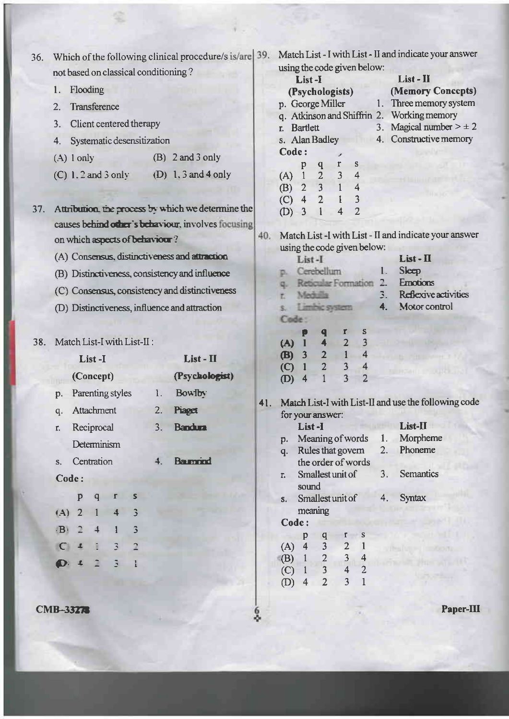| 36. | Which of the following clinical procedure/s is/are | 39. | Match List - I with List - II and indicate your answer                                                                                         |
|-----|----------------------------------------------------|-----|------------------------------------------------------------------------------------------------------------------------------------------------|
|     | not based on classical conditioning?               |     | using the code given below:<br>List - II<br>List-I                                                                                             |
|     | Flooding<br>1.                                     |     | (Memory Concepts)<br>(Psychologists)                                                                                                           |
|     | Transference<br>2.                                 |     | Three memory system<br>p. George Miller<br>1.                                                                                                  |
|     |                                                    |     | q. Atkinson and Shiffrin 2.<br>Working memory                                                                                                  |
|     | Client centered therapy<br>3.                      |     | Magical number $> \pm 2$<br>3.<br><b>Bartlett</b><br>r.                                                                                        |
|     | Systematic desensitization<br>4.                   |     | 4. Constructive memory<br>s. Alan Badley                                                                                                       |
|     | $(B)$ 2 and 3 only<br>$(A)$ l only                 |     | Code:<br>S<br>r<br>p                                                                                                                           |
|     | $(D)$ 1.3 and 4 only<br>$(C)$ 1.2 and 3 only       |     | $\mathbf q$<br>3<br>$\overline{2}$<br>4<br>$\mathbf{1}$<br>(A)<br>$\overline{1}$<br>$\overline{3}$<br>$\overline{2}$<br>$\overline{4}$<br>(B)  |
| 37. | Attribution the process by which we determine the  |     | $\overline{4}$<br>$\overline{2}$<br>3<br>(C)<br>$\overline{2}$<br>3<br>4<br>(D)                                                                |
|     | causes behind other's behaviour, involves focusing |     |                                                                                                                                                |
|     | on which aspects of behaviour?                     | 40. | Match List -I with List - II and indicate your answer                                                                                          |
|     | (A) Consensus, distinctiveness and attraction      |     | using the code given below:<br>$List - \Pi$<br>List-I                                                                                          |
|     | (B) Distinctiveness, consistency and influence     |     | Sleep<br>Cerebellum<br>1.                                                                                                                      |
|     |                                                    |     | <b>Emotions</b><br>Reticular Formation<br>2.                                                                                                   |
|     | (C) Consensus, consistency and distinctiveness     |     | Reflexive activities<br>Mechalla                                                                                                               |
|     | (D) Distinctiveness, influence and attraction      |     | Motor control<br>Limbic system<br>4.<br>s.<br>Code:                                                                                            |
| 38. | Match List-I with List-II:                         |     | r<br>S<br>p<br>q<br>$\overline{2}$<br>3<br>4<br>(A)<br>$\mathbf{1}$                                                                            |
|     | List - II<br>List-I                                |     | $\mathbf{1}$<br>$\overline{2}$<br>$\overline{4}$<br>$\overline{\mathbf{3}}$<br><b>B</b><br>$\overline{2}$<br>3<br>$\mathbf{1}$<br>$\circ$<br>4 |
|     | (Psychologist)<br>(Concept)                        |     | $\overline{2}$<br>3<br>4<br>(D)                                                                                                                |
|     | Bowlby:<br>Parenting styles<br>1.<br>p.            |     |                                                                                                                                                |
|     | Attachment<br>2.<br>Piaget<br>q.                   | 41. | Match List-I with List-II and use the following code<br>for your answer:                                                                       |
|     | 3.<br><b>Bandura</b><br>Reciprocal<br>r.           |     | List-II<br>List-I                                                                                                                              |
|     | Determinism                                        |     | Morpheme<br>Meaning of words<br>1.<br>p.                                                                                                       |
|     | <b>Barnond</b>                                     |     | Phoneme<br>Rules that govern<br>2.<br>q.                                                                                                       |
|     | Centration<br>4.<br>$S_{+}$                        |     | the order of words<br><b>Semantics</b><br>Smallest unit of<br>3 <sub>1</sub>                                                                   |
|     | Code:                                              |     | r.<br>sound                                                                                                                                    |
|     | p<br>S<br>$\mathsf{q}$                             |     | <b>Syntax</b><br>Smallest unit of<br>4.<br>S <sub>1</sub>                                                                                      |
|     | (A)<br>$\overline{2}$<br>4                         |     | meaning                                                                                                                                        |
|     | $\overline{3}$<br>$\cdot$ B<br>$\overline{4}$      |     | Code:                                                                                                                                          |
|     | 3<br>$\overline{a}$<br>$\subset$                   |     | S<br>p<br>$\overline{\mathbf{3}}$<br>$\overline{4}$<br>$\overline{c}$<br>(A)                                                                   |
|     | G.                                                 |     | $\frac{3}{4}$<br>$\overline{2}$<br>(B)<br>4                                                                                                    |
|     |                                                    |     | $\overline{3}$<br>$\overline{2}$<br>(C)<br>$\mathbf{1}$                                                                                        |
|     |                                                    |     | $\overline{3}$<br>(D)<br>$\overline{4}$                                                                                                        |
|     |                                                    |     |                                                                                                                                                |

**CMB-33278** 

Paper-III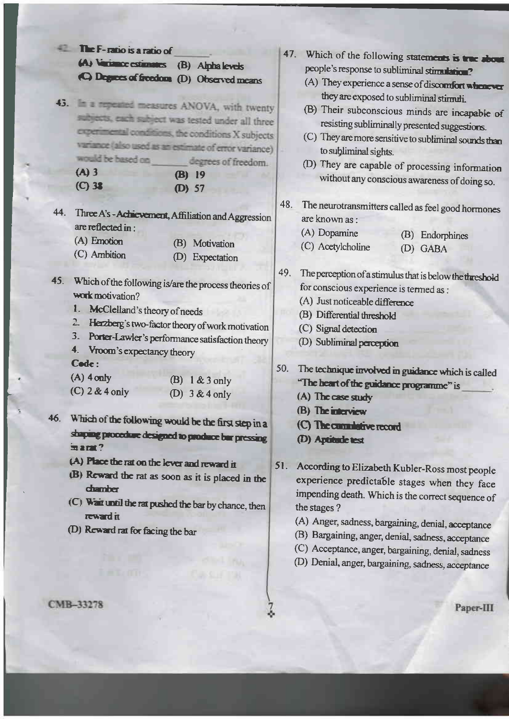|     | The F-ratio is a ratio of                                                                                                                                                                                                                                                                                    |     |                                                                                                                                                                                                                                                                                                                                      |
|-----|--------------------------------------------------------------------------------------------------------------------------------------------------------------------------------------------------------------------------------------------------------------------------------------------------------------|-----|--------------------------------------------------------------------------------------------------------------------------------------------------------------------------------------------------------------------------------------------------------------------------------------------------------------------------------------|
|     | (A) Variance estimates (B) Alpha levels<br>(C) Degrees of freedom (D) Observed means                                                                                                                                                                                                                         |     | 47. Which of the following statements is true about<br>people's response to subliminal stimulation?<br>(A) They experience a sense of discomfort whenever<br>they are exposed to subliminal stirmuli.                                                                                                                                |
|     | 43. In a repeated measures ANOVA, with twenty<br>subjects, each subject was tested under all three<br>experimental conditions, the conditions X subjects<br>variance (also used as an estimate of error variance)<br>would be based on<br>degrees of freedom.<br>$(A)$ 3<br>$(B)$ 19<br>$(C)$ 38<br>$(D)$ 57 |     | (B) Their subconscious minds are incapable of<br>resisting subliminally presented suggestions.<br>(C) They are more sensitive to subliminal sounds than<br>to subliminal sights.<br>(D) They are capable of processing information<br>without any conscious awareness of doing so.                                                   |
| 44. | Three A's - Achievement, Affiliation and Aggression<br>are reflected in:<br>(A) Emotion<br>Motivation<br>(B)<br>(C) Ambition<br>Expectation<br>(D)                                                                                                                                                           | 48. | The neurotransmitters called as feel good hormones<br>are known as :<br>(A) Dopamine<br>(B) Endorphines<br>(C) Acetylcholine<br>(D) GABA                                                                                                                                                                                             |
|     | 45. Which of the following is/are the process theories of<br>work motivation?<br>1.<br>McClelland's theory of needs<br>$\overline{2}$<br>Herzberg's two-factor theory of work motivation<br>3.<br>Porter-Lawler's performance satisfaction theory<br>4. Vroom's expectancy theory                            | 49. | The perception of a stimulus that is below the threshold<br>for conscious experience is termed as :<br>(A) Just noticeable difference<br>(B) Differential threshold<br>(C) Signal detection<br>(D) Subliminal perception                                                                                                             |
| 46. | Code:<br>$(A)$ 4 only<br>$1 & 3$ only<br>(B)<br>$(C)$ 2 & 4 only<br>$3 & 4$ only<br>(D)<br>Which of the following would be the first step in a<br>shaping procedure designed to produce bur pressing<br>$max$ ?                                                                                              | 50. | The technique involved in guidance which is called<br>"The heart of the guidance programme" is<br>(A) The case study<br>(B) The interview<br>(C) The cumulative record<br>(D) Aptitude test                                                                                                                                          |
|     | (A) Place the rat on the lever and reward it<br>(B) Reward the rat as soon as it is placed in the<br><b>chamber</b><br>$(C)$ Wait until the rat pushed the bar by chance, then<br>reward it<br>(D) Reward rat for facing the bar                                                                             | 51. | According to Elizabeth Kubler-Ross most people<br>experience predictable stages when they face<br>impending death. Which is the correct sequence of<br>the stages?<br>(A) Anger, sadness, bargaining, denial, acceptance<br>(B) Bargaining, anger, denial, sadness, acceptance<br>(C) Acceptance, anger, bargaining, denial, sadness |

(D) Denial, anger, bargaining, sadness, acceptance

Paper-III

CMB-33278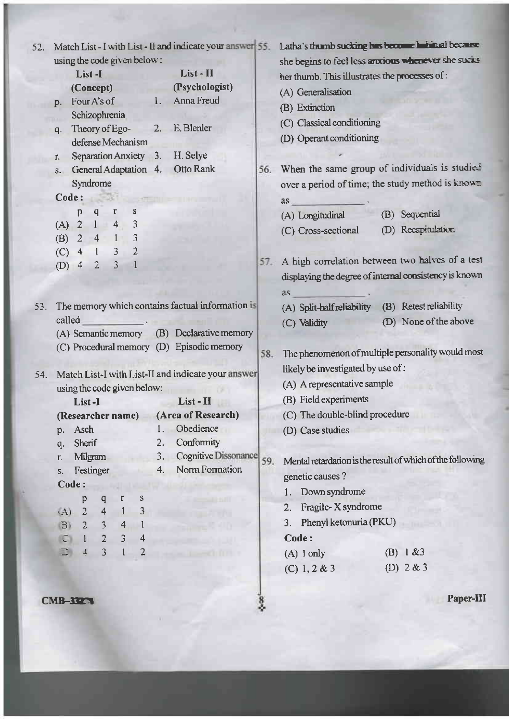|     |                                                    |                                                      |                   |                         |                                   |                             |                             | Match List - I with List - II and indicate your answer 55. |                       |                                                | Latha's thumb sucking has become habitual because          |
|-----|----------------------------------------------------|------------------------------------------------------|-------------------|-------------------------|-----------------------------------|-----------------------------|-----------------------------|------------------------------------------------------------|-----------------------|------------------------------------------------|------------------------------------------------------------|
|     |                                                    |                                                      |                   |                         |                                   | using the code given below: |                             |                                                            |                       |                                                | she begins to feel less anxious whenever she sucks         |
|     |                                                    | List-I                                               |                   |                         |                                   |                             | List - II<br>(Psychologist) |                                                            |                       | her thumb. This illustrates the processes of : |                                                            |
|     | (Concept)                                          |                                                      |                   |                         |                                   |                             |                             |                                                            |                       | (A) Generalisation                             |                                                            |
|     | D.                                                 |                                                      | Four A's of       |                         |                                   |                             | 1. Anna Freud               |                                                            |                       | (B) Extinction                                 |                                                            |
|     |                                                    |                                                      | Schizophrenia     |                         |                                   |                             |                             |                                                            |                       | (C) Classical conditioning                     |                                                            |
|     | $q_{\cdot}$                                        |                                                      | defense Mechanism |                         |                                   |                             |                             | Theory of Ego- 2. E. Blenler                               |                       | (D) Operant conditioning                       |                                                            |
|     | r.                                                 |                                                      |                   |                         |                                   |                             |                             | Separation Anxiety 3. H. Selye                             |                       |                                                |                                                            |
|     | $S-$                                               |                                                      |                   |                         |                                   |                             | General Adaptation 4.       | Otto Rank                                                  |                       |                                                | 56. When the same group of individuals is studied          |
|     |                                                    |                                                      | Syndrome          |                         |                                   |                             |                             |                                                            |                       |                                                | over a period of time; the study method is know            |
|     | Code:                                              |                                                      |                   | 538                     |                                   |                             |                             |                                                            |                       | as                                             |                                                            |
|     |                                                    | p                                                    |                   | $\mathbf{q}$            | $\mathbf r$                       | s                           |                             |                                                            |                       | (A) Longitudinal                               | (B) Sequential                                             |
|     |                                                    |                                                      | (A) 2 1 4         |                         |                                   | $\overline{\mathbf{3}}$     |                             |                                                            |                       | (C) Cross-sectional                            | (D) Recapitulation                                         |
|     |                                                    |                                                      | $(B)$ 2 4 1       |                         |                                   | $\overline{3}$              |                             |                                                            |                       |                                                |                                                            |
|     | $(C)$ 4                                            |                                                      |                   | $1 \quad 3$             |                                   | $\overline{2}$              |                             |                                                            | 57.                   |                                                | A high correlation between two halves of a test            |
|     | $(D)$ 4                                            |                                                      | $\overline{2}$    |                         | $\overline{3}$                    |                             |                             |                                                            |                       |                                                | displaying the degree of internal consistency is known     |
|     |                                                    |                                                      |                   |                         |                                   |                             |                             |                                                            |                       |                                                |                                                            |
|     |                                                    |                                                      |                   |                         |                                   |                             |                             |                                                            |                       | <b>as</b>                                      |                                                            |
| 53. |                                                    |                                                      |                   |                         |                                   |                             |                             | The memory which contains factual information is           |                       | (A) Split-half reliability                     | (B) Retest reliability                                     |
|     |                                                    | called<br>(A) Semantic memory (B) Declarative memory |                   |                         |                                   |                             |                             | (C) Validity                                               | (D) None of the above |                                                |                                                            |
|     |                                                    |                                                      |                   |                         |                                   |                             |                             | (C) Procedural memory (D) Episodic memory                  |                       |                                                |                                                            |
|     |                                                    |                                                      |                   |                         |                                   |                             |                             |                                                            |                       | 58.                                            | The phenomenon of multiple personality would most          |
| 54. | Match List-I with List-II and indicate your answer |                                                      |                   |                         | likely be investigated by use of: |                             |                             |                                                            |                       |                                                |                                                            |
|     |                                                    |                                                      |                   |                         |                                   | using the code given below: |                             |                                                            |                       | (A) A representative sample                    |                                                            |
|     |                                                    |                                                      | List-I            |                         |                                   |                             |                             | List - H                                                   |                       | (B) Field experiments                          |                                                            |
|     |                                                    |                                                      |                   |                         |                                   |                             |                             | (Researcher name) (Area of Research)                       |                       | (C) The double-blind procedure                 |                                                            |
|     | p.                                                 |                                                      | Asch              |                         |                                   |                             | 1.                          | Obedience                                                  |                       | (D) Case studies                               |                                                            |
|     | q.                                                 |                                                      | Sherif            |                         |                                   |                             | 2.                          | Conformity                                                 |                       |                                                |                                                            |
|     | r.                                                 |                                                      | Milgram           |                         |                                   |                             | 3.                          | <b>Cognitive Dissonance</b>                                | 59.                   |                                                | Mental retardation is the result of which of the following |
|     | S.                                                 |                                                      | Festinger         |                         |                                   |                             | 4.                          | Norm Formation                                             |                       | genetic causes?                                |                                                            |
|     |                                                    | Code:                                                |                   |                         |                                   |                             |                             |                                                            |                       | Down syndrome                                  |                                                            |
|     |                                                    |                                                      | p                 | $\overline{q}$          | r                                 | s                           |                             |                                                            |                       | Fragile-X syndrome<br>2.                       |                                                            |
|     | (A)                                                |                                                      | $\overline{2}$    | $\overline{\mathbf{4}}$ | $\mathbf{l}$                      | 3                           |                             |                                                            |                       | Phenyl ketonuria (PKU)                         |                                                            |
|     | B <sub>1</sub>                                     |                                                      | $\overline{2}$    | $\mathbf{3}$            | 4                                 |                             |                             |                                                            |                       | 3.                                             |                                                            |
|     | O                                                  |                                                      | $\mathbf{1}$      | $\overline{2}$          | 3                                 | 4                           |                             |                                                            |                       | Code:                                          |                                                            |
|     | D                                                  |                                                      | 4                 | $\overline{\mathbf{3}}$ |                                   | $\overline{2}$              |                             |                                                            |                       | $(A)$ 1 only                                   | 1 & 83<br>(B)                                              |
|     |                                                    |                                                      |                   |                         |                                   |                             |                             |                                                            |                       | $(C)$ 1, 2 & 3                                 | (D) $2 & 3$                                                |
|     |                                                    |                                                      |                   |                         |                                   |                             |                             |                                                            |                       |                                                |                                                            |
|     | CMB-3327                                           |                                                      |                   |                         |                                   |                             |                             |                                                            | 8g                    |                                                | Paper-III                                                  |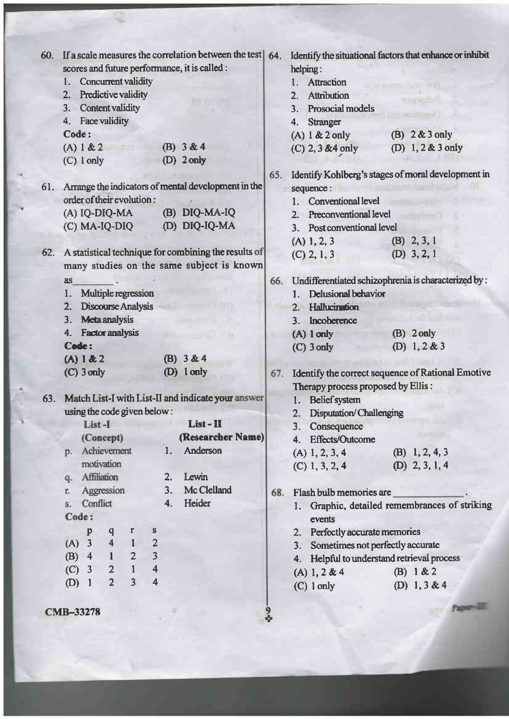| 60. |                                               | If a scale measures the correlation between the test | 64. |                                            | Identify the situational factors that enhance or inhibit |
|-----|-----------------------------------------------|------------------------------------------------------|-----|--------------------------------------------|----------------------------------------------------------|
|     | scores and future performance, it is called : |                                                      |     | helping:                                   |                                                          |
|     | Concurrent validity<br>1.                     |                                                      |     | Attraction<br>1.                           |                                                          |
|     | 2. Predictive validity                        |                                                      |     | <b>Attribution</b><br>2.                   |                                                          |
|     | <b>Content validity</b><br>3.                 |                                                      |     | Prosocial models<br>3.                     |                                                          |
|     | 4. Face validity                              |                                                      |     | <b>Stranger</b><br>4.                      |                                                          |
|     | Code:                                         |                                                      |     | $(A)$ 1 & 2 only                           | $(B)$ 2 & 3 only                                         |
|     | (A) 1 & 2                                     | (B) $3 & 4$                                          |     | $(C)$ 2, 3 & 4 only                        | (D) $1, 2 & 3$ only                                      |
|     | $(C)$ 1 only                                  | $(D)$ 2 only                                         |     |                                            |                                                          |
|     |                                               |                                                      | 65. |                                            | Identify Kohlberg's stages of moral development in       |
| 61. |                                               | Arrange the indicators of mental development in the  |     | sequence:                                  |                                                          |
|     | order of their evolution:                     |                                                      |     | <b>Conventional level</b><br>1.            |                                                          |
|     | (A) IQ-DIQ-MA                                 | (B) DIQ-MA-IQ                                        |     | 2. Preconventional level                   |                                                          |
|     | $(C)$ MA-IQ-DIQ                               | (D) DIQ-IQ-MA                                        |     | 3. Post conventional level                 |                                                          |
|     |                                               |                                                      |     | $(A)$ 1, 2, 3                              | $(B)$ 2, 3, 1                                            |
| 62. |                                               | A statistical technique for combining the results of |     | $(C)$ 2, 1, 3                              | (D) $3, 2, 1$                                            |
|     |                                               | many studies on the same subject is known            |     |                                            |                                                          |
|     | <b>as</b>                                     |                                                      | 66. |                                            | Undifferentiated schizophrenia is characterized by :     |
|     | Multiple regression<br>1.                     |                                                      |     | <b>Delusional behavior</b><br>1.           |                                                          |
|     | Discourse Analysis<br>2.                      |                                                      |     | Hallucination<br>2.                        |                                                          |
|     | <b>Meta analysis</b><br>3.                    |                                                      |     | Incoherence<br>3.                          |                                                          |
|     | <b>Factor analysis</b><br>4.                  |                                                      |     | $(A)$ 1 only                               | $(B)$ 2 only                                             |
|     | Code:                                         |                                                      |     | $(C)$ 3 only                               | (D) $1, 2 & 3$                                           |
|     | (A) 1 & 2                                     | (B) $3 & 4$                                          |     |                                            |                                                          |
|     | $(C)$ 3 only                                  | $(D)$ 1 only                                         | 67. |                                            | Identify the correct sequence of Rational Emotive        |
|     |                                               |                                                      |     | Therapy process proposed by Ellis:         |                                                          |
| 63. |                                               | Match List-I with List-II and indicate your answer   |     | <b>Belief</b> system<br>1.                 |                                                          |
|     | using the code given below:                   |                                                      |     | <b>Disputation/Challenging</b><br>2.       |                                                          |
|     | List-I                                        | List - II                                            |     | 3. Consequence                             |                                                          |
|     | (Concept)                                     | (Researcher Name)                                    |     | 4. Effects/Outcome                         |                                                          |
|     | Achievement<br>p.                             | Anderson<br>1.                                       |     | $(A)$ 1, 2, 3, 4                           | (B) $1, 2, 4, 3$                                         |
|     | motivation                                    |                                                      |     | $(C)$ 1, 3, 2, 4                           | (D) $2, 3, 1, 4$                                         |
|     | q. Affiliation                                | Lewin<br>2.                                          |     |                                            |                                                          |
|     | Aggression<br>r.                              | Mc Clelland<br>3.                                    | 68. | Flash bulb memories are                    |                                                          |
|     | Conflict<br>$S_{+}$                           | Heider<br>4.                                         |     |                                            | 1. Graphic, detailed remembrances of striking            |
|     | Code:                                         |                                                      |     | events                                     |                                                          |
|     | $\mathbf{r}$<br>P<br>q                        | S                                                    |     | 2. Perfectly accurate memories             |                                                          |
|     | (A) 3 4 1                                     | $\overline{2}$                                       |     | Sometimes not perfectly accurate<br>3.     |                                                          |
|     | (B) $4$ 1 2                                   | $\mathbf{3}$                                         |     | 4. Helpful to understand retrieval process |                                                          |
|     | (C) 3 2 1                                     | $\overline{4}$                                       |     | (A) 1, 2 & 4                               | (B) $1 & 2$                                              |
|     | $\overline{3}$<br>$\overline{2}$<br>$(D)$ 1   | $\overline{\mathbf{4}}$                              |     | $(C)$ 1 only                               | (D) 1, 3 & 4                                             |
|     |                                               |                                                      |     |                                            |                                                          |
|     | <b>CMB-33278</b>                              |                                                      |     |                                            | Paper III                                                |